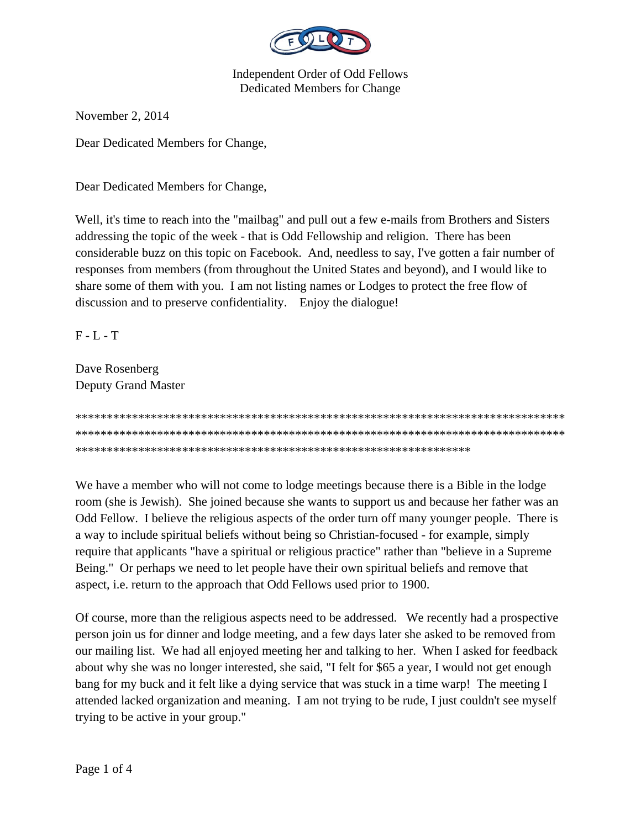

## **Independent Order of Odd Fellows** Dedicated Members for Change

November 2, 2014

Dear Dedicated Members for Change,

Dear Dedicated Members for Change,

Well, it's time to reach into the "mailbag" and pull out a few e-mails from Brothers and Sisters addressing the topic of the week - that is Odd Fellowship and religion. There has been considerable buzz on this topic on Facebook. And, needless to say, I've gotten a fair number of responses from members (from throughout the United States and beyond), and I would like to share some of them with you. I am not listing names or Lodges to protect the free flow of discussion and to preserve confidentiality. Enjoy the dialogue!

 $F - L - T$ 

Dave Rosenberg **Deputy Grand Master** 



We have a member who will not come to lodge meetings because there is a Bible in the lodge room (she is Jewish). She joined because she wants to support us and because her father was an Odd Fellow. I believe the religious aspects of the order turn off many younger people. There is a way to include spiritual beliefs without being so Christian-focused - for example, simply require that applicants "have a spiritual or religious practice" rather than "believe in a Supreme Being." Or perhaps we need to let people have their own spiritual beliefs and remove that aspect, i.e. return to the approach that Odd Fellows used prior to 1900.

Of course, more than the religious aspects need to be addressed. We recently had a prospective person join us for dinner and lodge meeting, and a few days later she asked to be removed from our mailing list. We had all enjoyed meeting her and talking to her. When I asked for feedback about why she was no longer interested, she said, "I felt for \$65 a year, I would not get enough bang for my buck and it felt like a dying service that was stuck in a time warp! The meeting I attended lacked organization and meaning. I am not trying to be rude, I just couldn't see myself trying to be active in your group."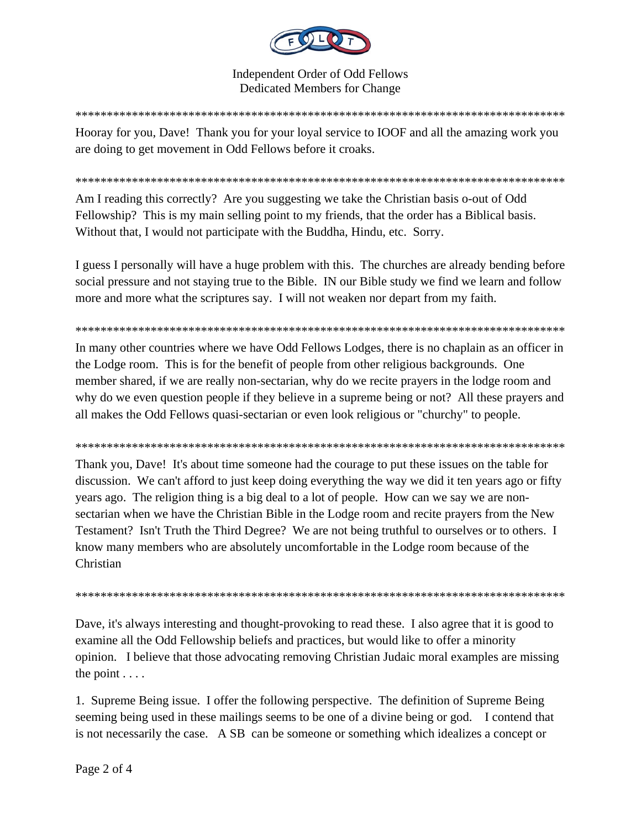

**Independent Order of Odd Fellows Dedicated Members for Change** 

Hooray for you, Dave! Thank you for your loyal service to IOOF and all the amazing work you are doing to get movement in Odd Fellows before it croaks.

Am I reading this correctly? Are you suggesting we take the Christian basis o-out of Odd Fellowship? This is my main selling point to my friends, that the order has a Biblical basis. Without that, I would not participate with the Buddha, Hindu, etc. Sorry.

I guess I personally will have a huge problem with this. The churches are already bending before social pressure and not staying true to the Bible. IN our Bible study we find we learn and follow more and more what the scriptures say. I will not weaken nor depart from my faith.

In many other countries where we have Odd Fellows Lodges, there is no chaplain as an officer in the Lodge room. This is for the benefit of people from other religious backgrounds. One member shared, if we are really non-sectarian, why do we recite prayers in the lodge room and why do we even question people if they believe in a supreme being or not? All these prayers and all makes the Odd Fellows quasi-sectarian or even look religious or "churchy" to people.

Thank you, Dave! It's about time someone had the courage to put these issues on the table for discussion. We can't afford to just keep doing everything the way we did it ten years ago or fifty years ago. The religion thing is a big deal to a lot of people. How can we say we are nonsectarian when we have the Christian Bible in the Lodge room and recite prayers from the New Testament? Isn't Truth the Third Degree? We are not being truthful to ourselves or to others. I know many members who are absolutely uncomfortable in the Lodge room because of the Christian

Dave, it's always interesting and thought-provoking to read these. I also agree that it is good to examine all the Odd Fellowship beliefs and practices, but would like to offer a minority opinion. I believe that those advocating removing Christian Judaic moral examples are missing the point  $\ldots$ 

1. Supreme Being issue. I offer the following perspective. The definition of Supreme Being seeming being used in these mailings seems to be one of a divine being or god. I contend that is not necessarily the case. A SB can be someone or something which idealizes a concept or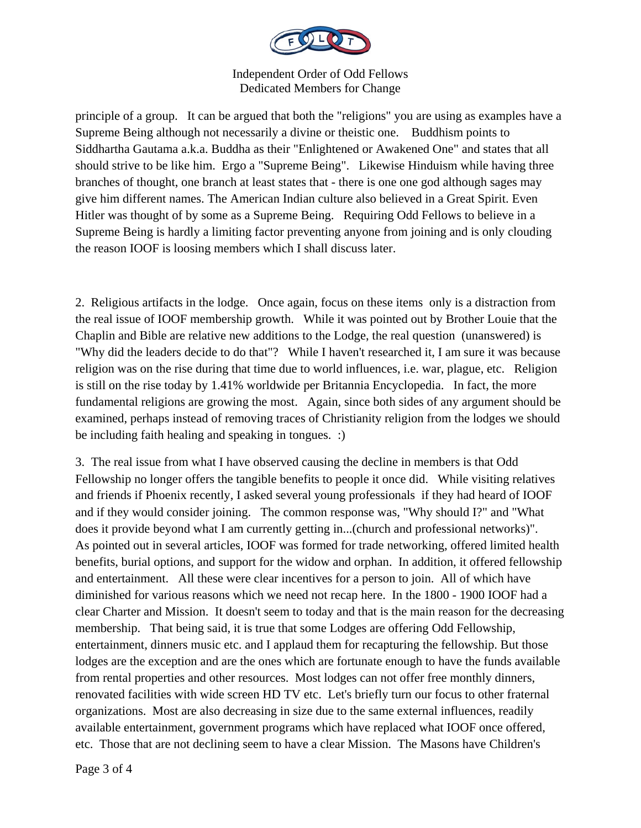

Independent Order of Odd Fellows Dedicated Members for Change

principle of a group. It can be argued that both the "religions" you are using as examples have a Supreme Being although not necessarily a divine or theistic one. Buddhism points to Siddhartha Gautama a.k.a. Buddha as their "Enlightened or Awakened One" and states that all should strive to be like him. Ergo a "Supreme Being". Likewise Hinduism while having three branches of thought, one branch at least states that - there is one one god although sages may give him different names. The American Indian culture also believed in a Great Spirit. Even Hitler was thought of by some as a Supreme Being. Requiring Odd Fellows to believe in a Supreme Being is hardly a limiting factor preventing anyone from joining and is only clouding the reason IOOF is loosing members which I shall discuss later.

2. Religious artifacts in the lodge. Once again, focus on these items only is a distraction from the real issue of IOOF membership growth. While it was pointed out by Brother Louie that the Chaplin and Bible are relative new additions to the Lodge, the real question (unanswered) is "Why did the leaders decide to do that"? While I haven't researched it, I am sure it was because religion was on the rise during that time due to world influences, i.e. war, plague, etc. Religion is still on the rise today by 1.41% worldwide per Britannia Encyclopedia. In fact, the more fundamental religions are growing the most. Again, since both sides of any argument should be examined, perhaps instead of removing traces of Christianity religion from the lodges we should be including faith healing and speaking in tongues. :)

3. The real issue from what I have observed causing the decline in members is that Odd Fellowship no longer offers the tangible benefits to people it once did. While visiting relatives and friends if Phoenix recently, I asked several young professionals if they had heard of IOOF and if they would consider joining. The common response was, "Why should I?" and "What does it provide beyond what I am currently getting in...(church and professional networks)". As pointed out in several articles, IOOF was formed for trade networking, offered limited health benefits, burial options, and support for the widow and orphan. In addition, it offered fellowship and entertainment. All these were clear incentives for a person to join. All of which have diminished for various reasons which we need not recap here. In the 1800 - 1900 IOOF had a clear Charter and Mission. It doesn't seem to today and that is the main reason for the decreasing membership. That being said, it is true that some Lodges are offering Odd Fellowship, entertainment, dinners music etc. and I applaud them for recapturing the fellowship. But those lodges are the exception and are the ones which are fortunate enough to have the funds available from rental properties and other resources. Most lodges can not offer free monthly dinners, renovated facilities with wide screen HD TV etc. Let's briefly turn our focus to other fraternal organizations. Most are also decreasing in size due to the same external influences, readily available entertainment, government programs which have replaced what IOOF once offered, etc. Those that are not declining seem to have a clear Mission. The Masons have Children's